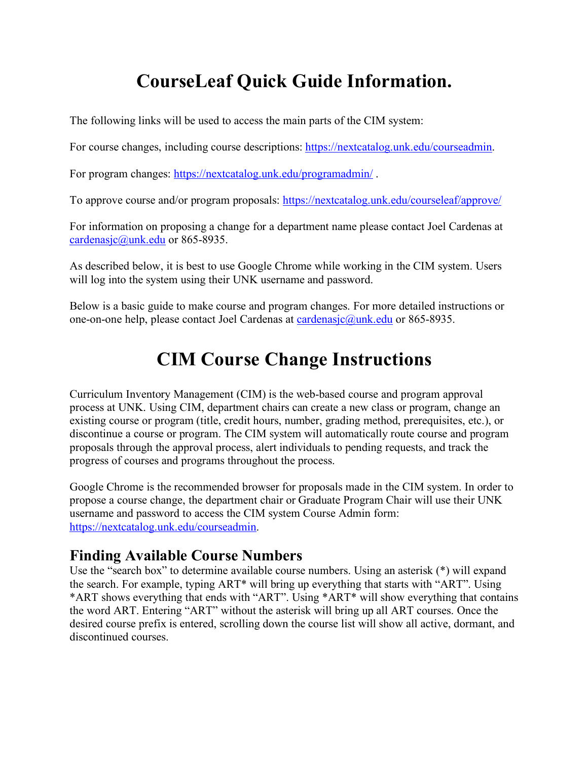# **CourseLeaf Quick Guide Information.**

The following links will be used to access the main parts of the CIM system:

For course changes, including course descriptions: https://nextcatalog.unk.edu/courseadmin.

For program changes: https://nextcatalog.unk.edu/programadmin/.

To approve course and/or program proposals: https://nextcatalog.unk.edu/courseleaf/approve/

For information on proposing a change for a department name please contact Joel Cardenas at cardenasjc@unk.edu or 865-8935.

As described below, it is best to use Google Chrome while working in the CIM system. Users will log into the system using their UNK username and password.

Below is a basic guide to make course and program changes. For more detailed instructions or one-on-one help, please contact Joel Cardenas at cardenasjc@unk.edu or 865-8935.

## **CIM Course Change Instructions**

Curriculum Inventory Management (CIM) is the web-based course and program approval process at UNK. Using CIM, department chairs can create a new class or program, change an existing course or program (title, credit hours, number, grading method, prerequisites, etc.), or discontinue a course or program. The CIM system will automatically route course and program proposals through the approval process, alert individuals to pending requests, and track the progress of courses and programs throughout the process.

Google Chrome is the recommended browser for proposals made in the CIM system. In order to propose a course change, the department chair or Graduate Program Chair will use their UNK username and password to access the CIM system Course Admin form: https://nextcatalog.unk.edu/courseadmin.

### **Finding Available Course Numbers**

Use the "search box" to determine available course numbers. Using an asterisk (\*) will expand the search. For example, typing ART\* will bring up everything that starts with "ART". Using \*ART shows everything that ends with "ART". Using \*ART\* will show everything that contains the word ART. Entering "ART" without the asterisk will bring up all ART courses. Once the desired course prefix is entered, scrolling down the course list will show all active, dormant, and discontinued courses.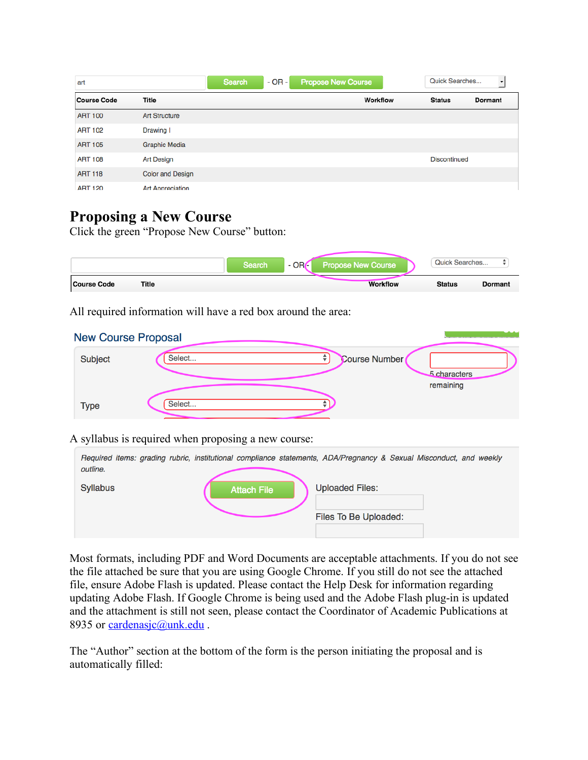| art                |                         | <b>Search</b> | $-$ OR $-$ | <b>Propose New Course</b> | Quick Searches      |         |
|--------------------|-------------------------|---------------|------------|---------------------------|---------------------|---------|
| <b>Course Code</b> | Title                   |               |            | Workflow                  | <b>Status</b>       | Dormant |
| <b>ART 100</b>     | <b>Art Structure</b>    |               |            |                           |                     |         |
| <b>ART 102</b>     | Drawing I               |               |            |                           |                     |         |
| <b>ART 105</b>     | <b>Graphic Media</b>    |               |            |                           |                     |         |
| <b>ART 108</b>     | <b>Art Design</b>       |               |            |                           | <b>Discontinued</b> |         |
| <b>ART 118</b>     | <b>Color and Design</b> |               |            |                           |                     |         |
| <b>ART 120</b>     | <b>Art Appreciation</b> |               |            |                           |                     |         |

### **Proposing a New Course**

Click the green "Propose New Course" button:

|                    |       | Search | $-ORC$ | <b>Propose New Course</b> | Quick Searches | ▴       |
|--------------------|-------|--------|--------|---------------------------|----------------|---------|
| <b>Course Code</b> | Title |        |        | <b>Workflow</b>           | <b>Status</b>  | Dormant |

All required information will have a red box around the area:

|             | <b>New Course Proposal</b> |                               |
|-------------|----------------------------|-------------------------------|
| Subject     | Select                     | Course Number<br>5 characters |
| <b>Type</b> | Select                     | remaining                     |

A syllabus is required when proposing a new course:

| Required items: grading rubric, institutional compliance statements, ADA/Pregnancy & Sexual Misconduct, and weekly<br>outline. |                    |                        |  |
|--------------------------------------------------------------------------------------------------------------------------------|--------------------|------------------------|--|
| <b>Syllabus</b>                                                                                                                | <b>Attach File</b> | <b>Uploaded Files:</b> |  |
|                                                                                                                                |                    | Files To Be Uploaded:  |  |

Most formats, including PDF and Word Documents are acceptable attachments. If you do not see the file attached be sure that you are using Google Chrome. If you still do not see the attached file, ensure Adobe Flash is updated. Please contact the Help Desk for information regarding updating Adobe Flash. If Google Chrome is being used and the Adobe Flash plug-in is updated and the attachment is still not seen, please contact the Coordinator of Academic Publications at 8935 or cardenasjc@unk.edu.

The "Author" section at the bottom of the form is the person initiating the proposal and is automatically filled: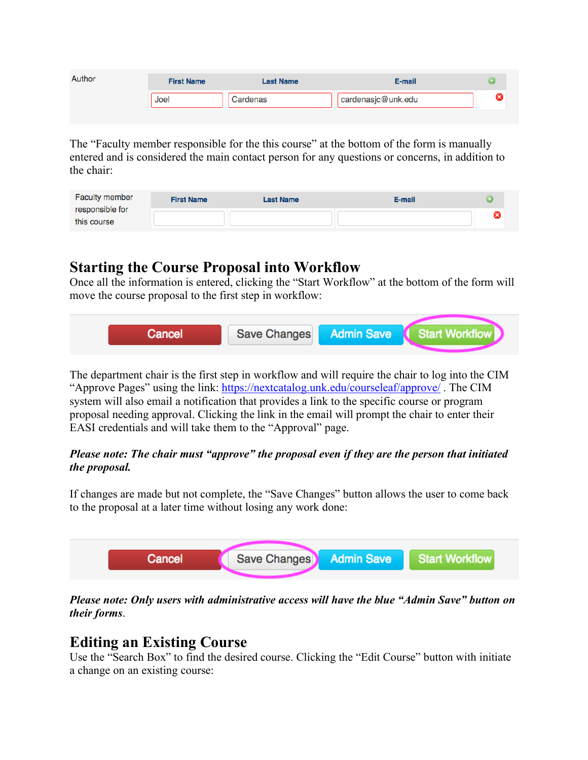| Author | <b>First Name</b> | <b>Last Name</b> | E-mail             |  |
|--------|-------------------|------------------|--------------------|--|
|        | Joel              | Cardenas         | cardenasjc@unk.edu |  |
|        |                   |                  |                    |  |

The "Faculty member responsible for the this course" at the bottom of the form is manually entered and is considered the main contact person for any questions or concerns, in addition to the chair:

| <b>Faculty member</b> | <b>First Name</b> | <b>Last Name</b> | E-mail |  |
|-----------------------|-------------------|------------------|--------|--|
| responsible for       |                   |                  |        |  |
| this course           |                   |                  |        |  |

### **Starting the Course Proposal into Workflow**

Once all the information is entered, clicking the "Start Workflow" at the bottom of the form will move the course proposal to the first step in workflow:



The department chair is the first step in workflow and will require the chair to log into the CIM "Approve Pages" using the link: https://nextcatalog.unk.edu/courseleaf/approve/. The CIM system will also email a notification that provides a link to the specific course or program proposal needing approval. Clicking the link in the email will prompt the chair to enter their EASI credentials and will take them to the "Approval" page.

#### *Please note: The chair must "approve" the proposal even if they are the person that initiated the proposal.*

If changes are made but not complete, the "Save Changes" button allows the user to come back to the proposal at a later time without losing any work done:



*Please note: Only users with administrative access will have the blue "Admin Save" button on their forms*.

### **Editing an Existing Course**

Use the "Search Box" to find the desired course. Clicking the "Edit Course" button with initiate a change on an existing course: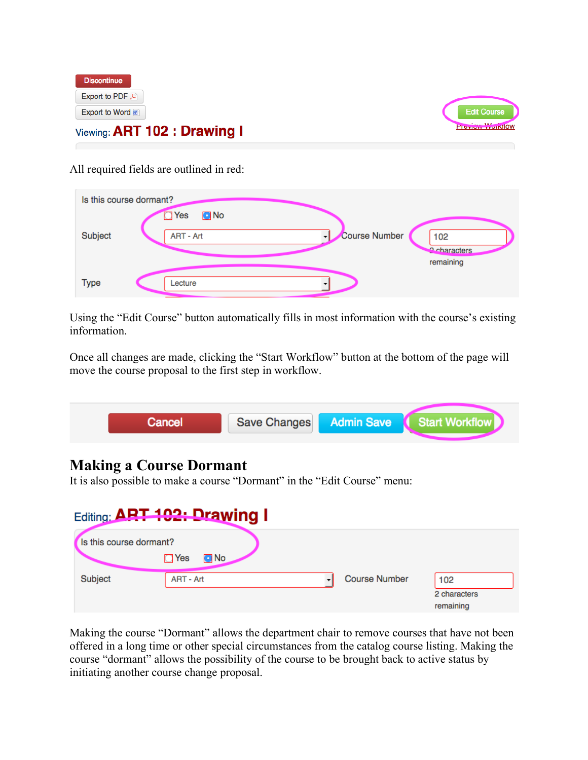

All required fields are outlined in red:

| Is this course dormant? |                                          |               |                                  |
|-------------------------|------------------------------------------|---------------|----------------------------------|
| Subject                 | <b>O</b> No<br><b>O</b> Yes<br>ART - Art | Course Number | 102<br>2 characters<br>remaining |
| <b>Type</b>             | Lecture                                  |               |                                  |

Using the "Edit Course" button automatically fills in most information with the course's existing information.

Once all changes are made, clicking the "Start Workflow" button at the bottom of the page will move the course proposal to the first step in workflow.

| <b>Admin Save (Start Workflow)</b><br>Save Changes<br>Cancel |  |  |
|--------------------------------------------------------------|--|--|
|                                                              |  |  |

### **Making a Course Dormant**

It is also possible to make a course "Dormant" in the "Edit Course" menu:

| 102<br>2 characters |
|---------------------|
| remaining           |

Making the course "Dormant" allows the department chair to remove courses that have not been offered in a long time or other special circumstances from the catalog course listing. Making the course "dormant" allows the possibility of the course to be brought back to active status by initiating another course change proposal.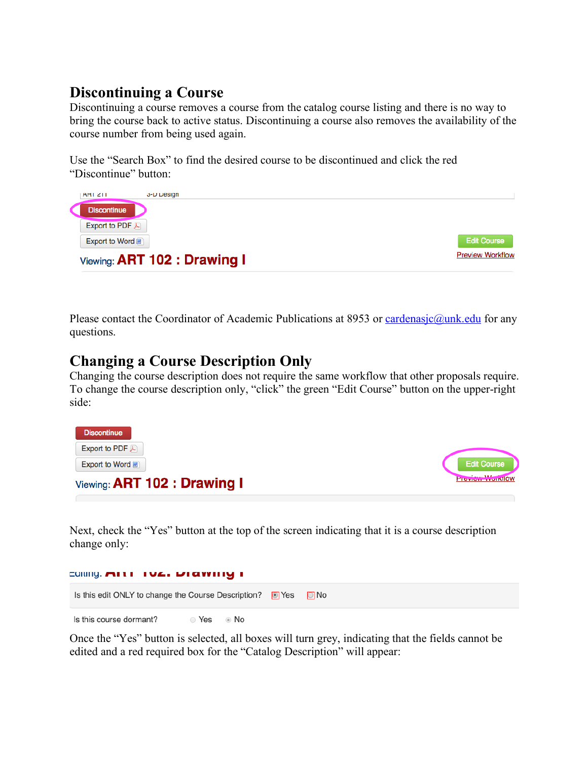### **Discontinuing a Course**

Discontinuing a course removes a course from the catalog course listing and there is no way to bring the course back to active status. Discontinuing a course also removes the availability of the course number from being used again.

Use the "Search Box" to find the desired course to be discontinued and click the red "Discontinue" button:

| <b>AHIZII</b>                  | 3-D Design                  |                         |
|--------------------------------|-----------------------------|-------------------------|
| <b>Discontinue</b>             |                             |                         |
| Export to PDF $\triangleright$ |                             |                         |
| Export to Word                 |                             | <b>Edit Course</b>      |
|                                | Viewing: ART 102: Drawing I | <b>Preview Workflow</b> |

Please contact the Coordinator of Academic Publications at 8953 or cardenasjc@unk.edu for any questions.

### **Changing a Course Description Only**

Changing the course description does not require the same workflow that other proposals require. To change the course description only, "click" the green "Edit Course" button on the upper-right side:



Next, check the "Yes" button at the top of the screen indicating that it is a course description change only:

| <b>Culully. ATTI TUE. DIQWING I</b>                                          |               |  |  |  |
|------------------------------------------------------------------------------|---------------|--|--|--|
| Is this edit ONLY to change the Course Description? $\bullet$ Yes $\circ$ No |               |  |  |  |
| Is this course dormant?                                                      | ⊛ No<br>) Yes |  |  |  |

Once the "Yes" button is selected, all boxes will turn grey, indicating that the fields cannot be edited and a red required box for the "Catalog Description" will appear: